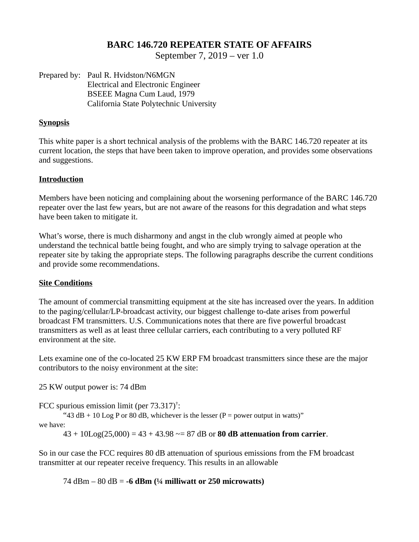## **BARC 146.720 REPEATER STATE OF AFFAIRS**

September 7, 2019 – ver 1.0

Prepared by: Paul R. Hvidston/N6MGN Electrical and Electronic Engineer BSEEE Magna Cum Laud, 1979 California State Polytechnic University

## **Synopsis**

This white paper is a short technical analysis of the problems with the BARC 146.720 repeater at its current location, the steps that have been taken to improve operation, and provides some observations and suggestions.

#### **Introduction**

Members have been noticing and complaining about the worsening performance of the BARC 146.720 repeater over the last few years, but are not aware of the reasons for this degradation and what steps have been taken to mitigate it.

What's worse, there is much disharmony and angst in the club wrongly aimed at people who understand the technical battle being fought, and who are simply trying to salvage operation at the repeater site by taking the appropriate steps. The following paragraphs describe the current conditions and provide some recommendations.

#### **Site Conditions**

The amount of commercial transmitting equipment at the site has increased over the years. In addition to the paging/cellular/LP-broadcast activity, our biggest challenge to-date arises from powerful broadcast FM transmitters. U.S. Communications notes that there are five powerful broadcast transmitters as well as at least three cellular carriers, each contributing to a very polluted RF environment at the site.

Lets examine one of the co-located 25 KW ERP FM broadcast transmitters since these are the major contributors to the noisy environment at the site:

25 KW output power is: 74 dBm

FCC spurious emission limit (per  $73.317$ )<sup>†</sup>:

"43 dB + 10 Log P or 80 dB, whichever is the lesser (P = power output in watts)"

we have:

43 + 10Log(25,000) = 43 + 43.98 ~= 87 dB or **80 dB attenuation from carrier**.

So in our case the FCC requires 80 dB attenuation of spurious emissions from the FM broadcast transmitter at our repeater receive frequency. This results in an allowable

74 dBm – 80 dB = **-6 dBm (¼ milliwatt or 250 microwatts)**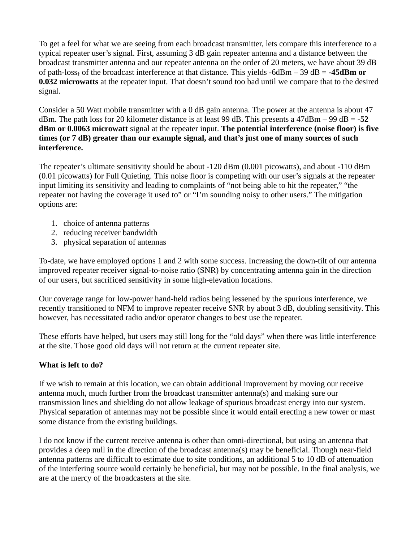To get a feel for what we are seeing from each broadcast transmitter, lets compare this interference to a typical repeater user's signal. First, assuming 3 dB gain repeater antenna and a distance between the broadcast transmitter antenna and our repeater antenna on the order of 20 meters, we have about 39 dB of path-loss‡ of the broadcast interference at that distance. This yields -6dBm – 39 dB = **-45dBm or 0.032 microwatts** at the repeater input. That doesn't sound too bad until we compare that to the desired signal.

Consider a 50 Watt mobile transmitter with a 0 dB gain antenna. The power at the antenna is about 47 dBm. The path loss for 20 kilometer distance is at least 99 dB. This presents a 47dBm – 99 dB = **-52 dBm or 0.0063 microwatt** signal at the repeater input. **The potential interference (noise floor) is five times (or 7 dB) greater than our example signal, and that's just one of many sources of such interference.**

The repeater's ultimate sensitivity should be about -120 dBm (0.001 picowatts), and about -110 dBm (0.01 picowatts) for Full Quieting. This noise floor is competing with our user's signals at the repeater input limiting its sensitivity and leading to complaints of "not being able to hit the repeater," "the repeater not having the coverage it used to" or "I'm sounding noisy to other users." The mitigation options are:

- 1. choice of antenna patterns
- 2. reducing receiver bandwidth
- 3. physical separation of antennas

To-date, we have employed options 1 and 2 with some success. Increasing the down-tilt of our antenna improved repeater receiver signal-to-noise ratio (SNR) by concentrating antenna gain in the direction of our users, but sacrificed sensitivity in some high-elevation locations.

Our coverage range for low-power hand-held radios being lessened by the spurious interference, we recently transitioned to NFM to improve repeater receive SNR by about 3 dB, doubling sensitivity. This however, has necessitated radio and/or operator changes to best use the repeater.

These efforts have helped, but users may still long for the "old days" when there was little interference at the site. Those good old days will not return at the current repeater site.

# **What is left to do?**

If we wish to remain at this location, we can obtain additional improvement by moving our receive antenna much, much further from the broadcast transmitter antenna(s) and making sure our transmission lines and shielding do not allow leakage of spurious broadcast energy into our system. Physical separation of antennas may not be possible since it would entail erecting a new tower or mast some distance from the existing buildings.

I do not know if the current receive antenna is other than omni-directional, but using an antenna that provides a deep null in the direction of the broadcast antenna(s) may be beneficial. Though near-field antenna patterns are difficult to estimate due to site conditions, an additional 5 to 10 dB of attenuation of the interfering source would certainly be beneficial, but may not be possible. In the final analysis, we are at the mercy of the broadcasters at the site.